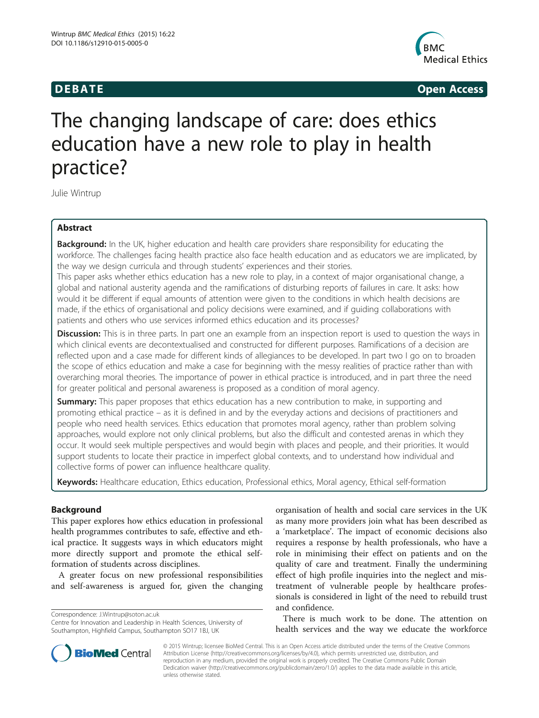

**DEBATE CONSIDERENT CONSIDERED ACCESS** 

# The changing landscape of care: does ethics education have a new role to play in health practice?

Julie Wintrup

# Abstract

Background: In the UK, higher education and health care providers share responsibility for educating the workforce. The challenges facing health practice also face health education and as educators we are implicated, by the way we design curricula and through students' experiences and their stories.

This paper asks whether ethics education has a new role to play, in a context of major organisational change, a global and national austerity agenda and the ramifications of disturbing reports of failures in care. It asks: how would it be different if equal amounts of attention were given to the conditions in which health decisions are made, if the ethics of organisational and policy decisions were examined, and if guiding collaborations with patients and others who use services informed ethics education and its processes?

**Discussion:** This is in three parts. In part one an example from an inspection report is used to question the ways in which clinical events are decontextualised and constructed for different purposes. Ramifications of a decision are reflected upon and a case made for different kinds of allegiances to be developed. In part two I go on to broaden the scope of ethics education and make a case for beginning with the messy realities of practice rather than with overarching moral theories. The importance of power in ethical practice is introduced, and in part three the need for greater political and personal awareness is proposed as a condition of moral agency.

**Summary:** This paper proposes that ethics education has a new contribution to make, in supporting and promoting ethical practice – as it is defined in and by the everyday actions and decisions of practitioners and people who need health services. Ethics education that promotes moral agency, rather than problem solving approaches, would explore not only clinical problems, but also the difficult and contested arenas in which they occur. It would seek multiple perspectives and would begin with places and people, and their priorities. It would support students to locate their practice in imperfect global contexts, and to understand how individual and collective forms of power can influence healthcare quality.

Keywords: Healthcare education, Ethics education, Professional ethics, Moral agency, Ethical self-formation

# Background

This paper explores how ethics education in professional health programmes contributes to safe, effective and ethical practice. It suggests ways in which educators might more directly support and promote the ethical selfformation of students across disciplines.

A greater focus on new professional responsibilities and self-awareness is argued for, given the changing

Correspondence: [J.Wintrup@soton.ac.uk](mailto:J.Wintrup@soton.ac.uk)

organisation of health and social care services in the UK as many more providers join what has been described as a 'marketplace'. The impact of economic decisions also requires a response by health professionals, who have a role in minimising their effect on patients and on the quality of care and treatment. Finally the undermining effect of high profile inquiries into the neglect and mistreatment of vulnerable people by healthcare professionals is considered in light of the need to rebuild trust and confidence.

There is much work to be done. The attention on health services and the way we educate the workforce



© 2015 Wintrup; licensee BioMed Central. This is an Open Access article distributed under the terms of the Creative Commons Attribution License (<http://creativecommons.org/licenses/by/4.0>), which permits unrestricted use, distribution, and reproduction in any medium, provided the original work is properly credited. The Creative Commons Public Domain Dedication waiver [\(http://creativecommons.org/publicdomain/zero/1.0/](http://creativecommons.org/publicdomain/zero/1.0/)) applies to the data made available in this article, unless otherwise stated.

Centre for Innovation and Leadership in Health Sciences, University of Southampton, Highfield Campus, Southampton SO17 1BJ, UK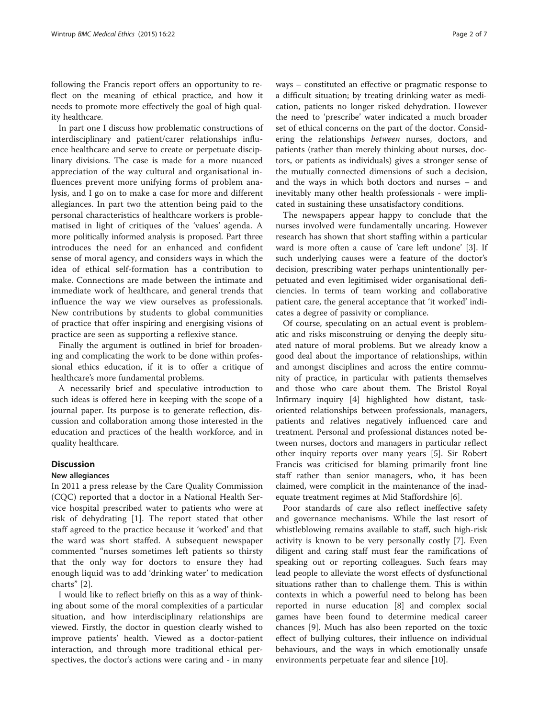following the Francis report offers an opportunity to reflect on the meaning of ethical practice, and how it needs to promote more effectively the goal of high quality healthcare.

In part one I discuss how problematic constructions of interdisciplinary and patient/carer relationships influence healthcare and serve to create or perpetuate disciplinary divisions. The case is made for a more nuanced appreciation of the way cultural and organisational influences prevent more unifying forms of problem analysis, and I go on to make a case for more and different allegiances. In part two the attention being paid to the personal characteristics of healthcare workers is problematised in light of critiques of the 'values' agenda. A more politically informed analysis is proposed. Part three introduces the need for an enhanced and confident sense of moral agency, and considers ways in which the idea of ethical self-formation has a contribution to make. Connections are made between the intimate and immediate work of healthcare, and general trends that influence the way we view ourselves as professionals. New contributions by students to global communities of practice that offer inspiring and energising visions of practice are seen as supporting a reflexive stance.

Finally the argument is outlined in brief for broadening and complicating the work to be done within professional ethics education, if it is to offer a critique of healthcare's more fundamental problems.

A necessarily brief and speculative introduction to such ideas is offered here in keeping with the scope of a journal paper. Its purpose is to generate reflection, discussion and collaboration among those interested in the education and practices of the health workforce, and in quality healthcare.

# **Discussion**

### New allegiances

In 2011 a press release by the Care Quality Commission (CQC) reported that a doctor in a National Health Service hospital prescribed water to patients who were at risk of dehydrating [[1\]](#page-5-0). The report stated that other staff agreed to the practice because it 'worked' and that the ward was short staffed. A subsequent newspaper commented "nurses sometimes left patients so thirsty that the only way for doctors to ensure they had enough liquid was to add 'drinking water' to medication charts" [[2\]](#page-5-0).

I would like to reflect briefly on this as a way of thinking about some of the moral complexities of a particular situation, and how interdisciplinary relationships are viewed. Firstly, the doctor in question clearly wished to improve patients' health. Viewed as a doctor-patient interaction, and through more traditional ethical perspectives, the doctor's actions were caring and - in many

ways – constituted an effective or pragmatic response to a difficult situation; by treating drinking water as medication, patients no longer risked dehydration. However the need to 'prescribe' water indicated a much broader set of ethical concerns on the part of the doctor. Considering the relationships between nurses, doctors, and patients (rather than merely thinking about nurses, doctors, or patients as individuals) gives a stronger sense of the mutually connected dimensions of such a decision, and the ways in which both doctors and nurses – and inevitably many other health professionals - were implicated in sustaining these unsatisfactory conditions.

The newspapers appear happy to conclude that the nurses involved were fundamentally uncaring. However research has shown that short staffing within a particular ward is more often a cause of 'care left undone' [\[3\]](#page-5-0). If such underlying causes were a feature of the doctor's decision, prescribing water perhaps unintentionally perpetuated and even legitimised wider organisational deficiencies. In terms of team working and collaborative patient care, the general acceptance that 'it worked' indicates a degree of passivity or compliance.

Of course, speculating on an actual event is problematic and risks misconstruing or denying the deeply situated nature of moral problems. But we already know a good deal about the importance of relationships, within and amongst disciplines and across the entire community of practice, in particular with patients themselves and those who care about them. The Bristol Royal Infirmary inquiry [[4](#page-5-0)] highlighted how distant, taskoriented relationships between professionals, managers, patients and relatives negatively influenced care and treatment. Personal and professional distances noted between nurses, doctors and managers in particular reflect other inquiry reports over many years [\[5](#page-5-0)]. Sir Robert Francis was criticised for blaming primarily front line staff rather than senior managers, who, it has been claimed, were complicit in the maintenance of the inadequate treatment regimes at Mid Staffordshire [[6\]](#page-5-0).

Poor standards of care also reflect ineffective safety and governance mechanisms. While the last resort of whistleblowing remains available to staff, such high-risk activity is known to be very personally costly [[7](#page-5-0)]. Even diligent and caring staff must fear the ramifications of speaking out or reporting colleagues. Such fears may lead people to alleviate the worst effects of dysfunctional situations rather than to challenge them. This is within contexts in which a powerful need to belong has been reported in nurse education [[8\]](#page-5-0) and complex social games have been found to determine medical career chances [\[9](#page-5-0)]. Much has also been reported on the toxic effect of bullying cultures, their influence on individual behaviours, and the ways in which emotionally unsafe environments perpetuate fear and silence [[10\]](#page-5-0).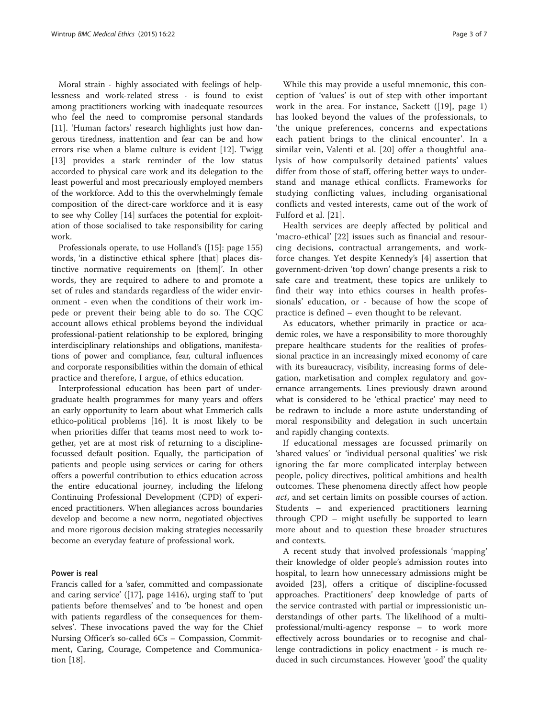Moral strain - highly associated with feelings of helplessness and work-related stress - is found to exist among practitioners working with inadequate resources who feel the need to compromise personal standards [[11\]](#page-5-0). 'Human factors' research highlights just how dangerous tiredness, inattention and fear can be and how errors rise when a blame culture is evident [\[12\]](#page-5-0). Twigg [[13\]](#page-5-0) provides a stark reminder of the low status accorded to physical care work and its delegation to the least powerful and most precariously employed members of the workforce. Add to this the overwhelmingly female composition of the direct-care workforce and it is easy to see why Colley [\[14](#page-5-0)] surfaces the potential for exploitation of those socialised to take responsibility for caring work.

Professionals operate, to use Holland's ([\[15](#page-5-0)]: page 155) words, 'in a distinctive ethical sphere [that] places distinctive normative requirements on [them]'. In other words, they are required to adhere to and promote a set of rules and standards regardless of the wider environment - even when the conditions of their work impede or prevent their being able to do so. The CQC account allows ethical problems beyond the individual professional-patient relationship to be explored, bringing interdisciplinary relationships and obligations, manifestations of power and compliance, fear, cultural influences and corporate responsibilities within the domain of ethical practice and therefore, I argue, of ethics education.

Interprofessional education has been part of undergraduate health programmes for many years and offers an early opportunity to learn about what Emmerich calls ethico-political problems [\[16\]](#page-5-0). It is most likely to be when priorities differ that teams most need to work together, yet are at most risk of returning to a disciplinefocussed default position. Equally, the participation of patients and people using services or caring for others offers a powerful contribution to ethics education across the entire educational journey, including the lifelong Continuing Professional Development (CPD) of experienced practitioners. When allegiances across boundaries develop and become a new norm, negotiated objectives and more rigorous decision making strategies necessarily become an everyday feature of professional work.

#### Power is real

Francis called for a 'safer, committed and compassionate and caring service' ([[17](#page-5-0)], page 1416), urging staff to 'put patients before themselves' and to 'be honest and open with patients regardless of the consequences for themselves'. These invocations paved the way for the Chief Nursing Officer's so-called 6Cs – Compassion, Commitment, Caring, Courage, Competence and Communication [\[18\]](#page-5-0).

While this may provide a useful mnemonic, this conception of 'values' is out of step with other important work in the area. For instance, Sackett ([\[19\]](#page-5-0), page 1) has looked beyond the values of the professionals, to 'the unique preferences, concerns and expectations each patient brings to the clinical encounter'. In a similar vein, Valenti et al. [[20\]](#page-5-0) offer a thoughtful analysis of how compulsorily detained patients' values differ from those of staff, offering better ways to understand and manage ethical conflicts. Frameworks for studying conflicting values, including organisational conflicts and vested interests, came out of the work of Fulford et al. [[21](#page-5-0)].

Health services are deeply affected by political and 'macro-ethical' [[22\]](#page-5-0) issues such as financial and resourcing decisions, contractual arrangements, and workforce changes. Yet despite Kennedy's [[4\]](#page-5-0) assertion that government-driven 'top down' change presents a risk to safe care and treatment, these topics are unlikely to find their way into ethics courses in health professionals' education, or - because of how the scope of practice is defined – even thought to be relevant.

As educators, whether primarily in practice or academic roles, we have a responsibility to more thoroughly prepare healthcare students for the realities of professional practice in an increasingly mixed economy of care with its bureaucracy, visibility, increasing forms of delegation, marketisation and complex regulatory and governance arrangements. Lines previously drawn around what is considered to be 'ethical practice' may need to be redrawn to include a more astute understanding of moral responsibility and delegation in such uncertain and rapidly changing contexts.

If educational messages are focussed primarily on 'shared values' or 'individual personal qualities' we risk ignoring the far more complicated interplay between people, policy directives, political ambitions and health outcomes. These phenomena directly affect how people act, and set certain limits on possible courses of action. Students – and experienced practitioners learning through CPD – might usefully be supported to learn more about and to question these broader structures and contexts.

A recent study that involved professionals 'mapping' their knowledge of older people's admission routes into hospital, to learn how unnecessary admissions might be avoided [[23\]](#page-5-0), offers a critique of discipline-focussed approaches. Practitioners' deep knowledge of parts of the service contrasted with partial or impressionistic understandings of other parts. The likelihood of a multiprofessional/multi-agency response – to work more effectively across boundaries or to recognise and challenge contradictions in policy enactment - is much reduced in such circumstances. However 'good' the quality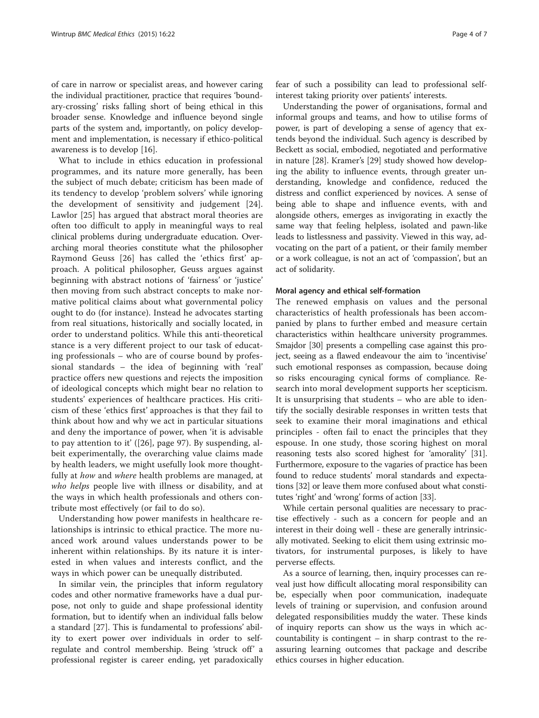of care in narrow or specialist areas, and however caring the individual practitioner, practice that requires 'boundary-crossing' risks falling short of being ethical in this broader sense. Knowledge and influence beyond single parts of the system and, importantly, on policy development and implementation, is necessary if ethico-political awareness is to develop [[16\]](#page-5-0).

What to include in ethics education in professional programmes, and its nature more generally, has been the subject of much debate; criticism has been made of its tendency to develop 'problem solvers' while ignoring the development of sensitivity and judgement [[24](#page-5-0)]. Lawlor [\[25](#page-5-0)] has argued that abstract moral theories are often too difficult to apply in meaningful ways to real clinical problems during undergraduate education. Overarching moral theories constitute what the philosopher Raymond Geuss [\[26](#page-5-0)] has called the 'ethics first' approach. A political philosopher, Geuss argues against beginning with abstract notions of 'fairness' or 'justice' then moving from such abstract concepts to make normative political claims about what governmental policy ought to do (for instance). Instead he advocates starting from real situations, historically and socially located, in order to understand politics. While this anti-theoretical stance is a very different project to our task of educating professionals – who are of course bound by professional standards – the idea of beginning with 'real' practice offers new questions and rejects the imposition of ideological concepts which might bear no relation to students' experiences of healthcare practices. His criticism of these 'ethics first' approaches is that they fail to think about how and why we act in particular situations and deny the importance of power, when 'it is advisable to pay attention to it' ([[26](#page-5-0)], page 97). By suspending, albeit experimentally, the overarching value claims made by health leaders, we might usefully look more thoughtfully at *how* and *where* health problems are managed, at who helps people live with illness or disability, and at the ways in which health professionals and others contribute most effectively (or fail to do so).

Understanding how power manifests in healthcare relationships is intrinsic to ethical practice. The more nuanced work around values understands power to be inherent within relationships. By its nature it is interested in when values and interests conflict, and the ways in which power can be unequally distributed.

In similar vein, the principles that inform regulatory codes and other normative frameworks have a dual purpose, not only to guide and shape professional identity formation, but to identify when an individual falls below a standard [\[27](#page-5-0)]. This is fundamental to professions' ability to exert power over individuals in order to selfregulate and control membership. Being 'struck off' a professional register is career ending, yet paradoxically

fear of such a possibility can lead to professional selfinterest taking priority over patients' interests.

Understanding the power of organisations, formal and informal groups and teams, and how to utilise forms of power, is part of developing a sense of agency that extends beyond the individual. Such agency is described by Beckett as social, embodied, negotiated and performative in nature [\[28](#page-5-0)]. Kramer's [[29\]](#page-5-0) study showed how developing the ability to influence events, through greater understanding, knowledge and confidence, reduced the distress and conflict experienced by novices. A sense of being able to shape and influence events, with and alongside others, emerges as invigorating in exactly the same way that feeling helpless, isolated and pawn-like leads to listlessness and passivity. Viewed in this way, advocating on the part of a patient, or their family member or a work colleague, is not an act of 'compassion', but an act of solidarity.

#### Moral agency and ethical self-formation

The renewed emphasis on values and the personal characteristics of health professionals has been accompanied by plans to further embed and measure certain characteristics within healthcare university programmes. Smajdor [[30](#page-5-0)] presents a compelling case against this project, seeing as a flawed endeavour the aim to 'incentivise' such emotional responses as compassion, because doing so risks encouraging cynical forms of compliance. Research into moral development supports her scepticism. It is unsurprising that students – who are able to identify the socially desirable responses in written tests that seek to examine their moral imaginations and ethical principles - often fail to enact the principles that they espouse. In one study, those scoring highest on moral reasoning tests also scored highest for 'amorality' [[31](#page-5-0)]. Furthermore, exposure to the vagaries of practice has been found to reduce students' moral standards and expectations [\[32\]](#page-5-0) or leave them more confused about what constitutes 'right' and 'wrong' forms of action [\[33\]](#page-6-0).

While certain personal qualities are necessary to practise effectively - such as a concern for people and an interest in their doing well - these are generally intrinsically motivated. Seeking to elicit them using extrinsic motivators, for instrumental purposes, is likely to have perverse effects.

As a source of learning, then, inquiry processes can reveal just how difficult allocating moral responsibility can be, especially when poor communication, inadequate levels of training or supervision, and confusion around delegated responsibilities muddy the water. These kinds of inquiry reports can show us the ways in which accountability is contingent – in sharp contrast to the reassuring learning outcomes that package and describe ethics courses in higher education.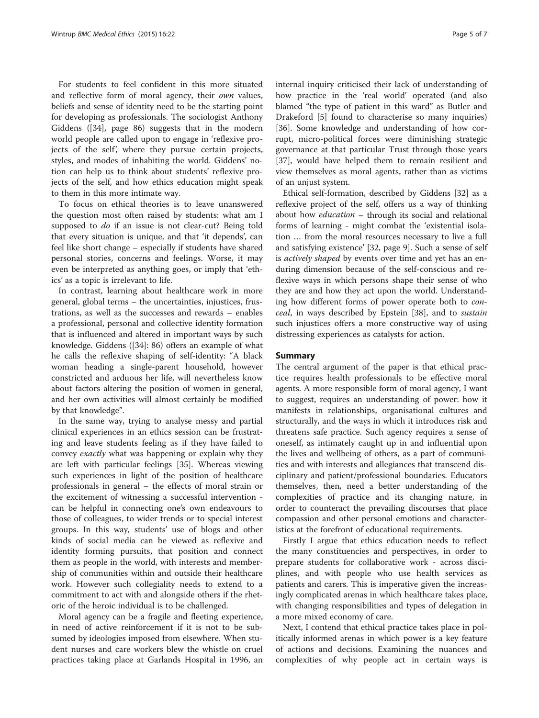For students to feel confident in this more situated and reflective form of moral agency, their own values, beliefs and sense of identity need to be the starting point for developing as professionals. The sociologist Anthony Giddens ([\[34](#page-6-0)], page 86) suggests that in the modern world people are called upon to engage in 'reflexive projects of the self', where they pursue certain projects, styles, and modes of inhabiting the world. Giddens' notion can help us to think about students' reflexive projects of the self, and how ethics education might speak to them in this more intimate way.

To focus on ethical theories is to leave unanswered the question most often raised by students: what am I supposed to *do* if an issue is not clear-cut? Being told that every situation is unique, and that 'it depends', can feel like short change – especially if students have shared personal stories, concerns and feelings. Worse, it may even be interpreted as anything goes, or imply that 'ethics' as a topic is irrelevant to life.

In contrast, learning about healthcare work in more general, global terms – the uncertainties, injustices, frustrations, as well as the successes and rewards – enables a professional, personal and collective identity formation that is influenced and altered in important ways by such knowledge. Giddens ([[34\]](#page-6-0): 86) offers an example of what he calls the reflexive shaping of self-identity: "A black woman heading a single-parent household, however constricted and arduous her life, will nevertheless know about factors altering the position of women in general, and her own activities will almost certainly be modified by that knowledge".

In the same way, trying to analyse messy and partial clinical experiences in an ethics session can be frustrating and leave students feeling as if they have failed to convey exactly what was happening or explain why they are left with particular feelings [\[35](#page-6-0)]. Whereas viewing such experiences in light of the position of healthcare professionals in general – the effects of moral strain or the excitement of witnessing a successful intervention can be helpful in connecting one's own endeavours to those of colleagues, to wider trends or to special interest groups. In this way, students' use of blogs and other kinds of social media can be viewed as reflexive and identity forming pursuits, that position and connect them as people in the world, with interests and membership of communities within and outside their healthcare work. However such collegiality needs to extend to a commitment to act with and alongside others if the rhetoric of the heroic individual is to be challenged.

Moral agency can be a fragile and fleeting experience, in need of active reinforcement if it is not to be subsumed by ideologies imposed from elsewhere. When student nurses and care workers blew the whistle on cruel practices taking place at Garlands Hospital in 1996, an internal inquiry criticised their lack of understanding of how practice in the 'real world' operated (and also blamed "the type of patient in this ward" as Butler and Drakeford [[5\]](#page-5-0) found to characterise so many inquiries) [[36\]](#page-6-0). Some knowledge and understanding of how corrupt, micro-political forces were diminishing strategic governance at that particular Trust through those years [[37\]](#page-6-0), would have helped them to remain resilient and view themselves as moral agents, rather than as victims of an unjust system.

Ethical self-formation, described by Giddens [\[32\]](#page-5-0) as a reflexive project of the self, offers us a way of thinking about how *education*  $-$  through its social and relational forms of learning - might combat the 'existential isolation … from the moral resources necessary to live a full and satisfying existence' [32, page 9]. Such a sense of self is *actively shaped* by events over time and yet has an enduring dimension because of the self-conscious and reflexive ways in which persons shape their sense of who they are and how they act upon the world. Understanding how different forms of power operate both to conceal, in ways described by Epstein [\[38\]](#page-6-0), and to sustain such injustices offers a more constructive way of using distressing experiences as catalysts for action.

#### Summary

The central argument of the paper is that ethical practice requires health professionals to be effective moral agents. A more responsible form of moral agency, I want to suggest, requires an understanding of power: how it manifests in relationships, organisational cultures and structurally, and the ways in which it introduces risk and threatens safe practice. Such agency requires a sense of oneself, as intimately caught up in and influential upon the lives and wellbeing of others, as a part of communities and with interests and allegiances that transcend disciplinary and patient/professional boundaries. Educators themselves, then, need a better understanding of the complexities of practice and its changing nature, in order to counteract the prevailing discourses that place compassion and other personal emotions and characteristics at the forefront of educational requirements.

Firstly I argue that ethics education needs to reflect the many constituencies and perspectives, in order to prepare students for collaborative work - across disciplines, and with people who use health services as patients and carers. This is imperative given the increasingly complicated arenas in which healthcare takes place, with changing responsibilities and types of delegation in a more mixed economy of care.

Next, I contend that ethical practice takes place in politically informed arenas in which power is a key feature of actions and decisions. Examining the nuances and complexities of why people act in certain ways is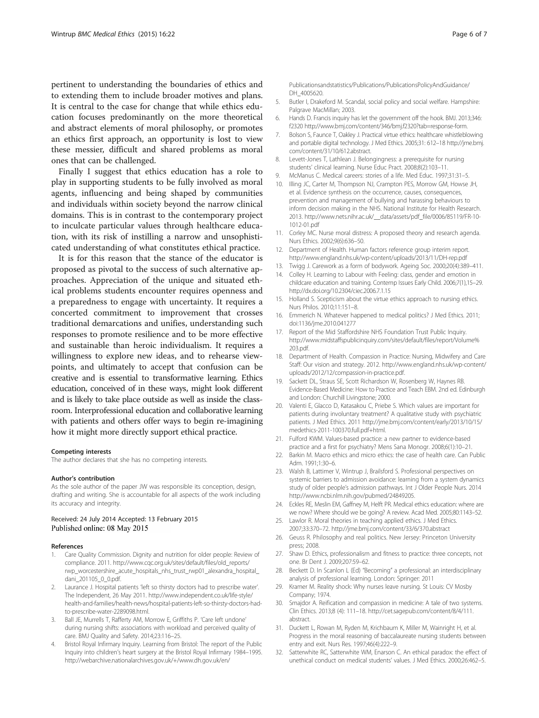<span id="page-5-0"></span>pertinent to understanding the boundaries of ethics and to extending them to include broader motives and plans. It is central to the case for change that while ethics education focuses predominantly on the more theoretical and abstract elements of moral philosophy, or promotes an ethics first approach, an opportunity is lost to view these messier, difficult and shared problems as moral ones that can be challenged.

Finally I suggest that ethics education has a role to play in supporting students to be fully involved as moral agents, influencing and being shaped by communities and individuals within society beyond the narrow clinical domains. This is in contrast to the contemporary project to inculcate particular values through healthcare education, with its risk of instilling a narrow and unsophisticated understanding of what constitutes ethical practice.

It is for this reason that the stance of the educator is proposed as pivotal to the success of such alternative approaches. Appreciation of the unique and situated ethical problems students encounter requires openness and a preparedness to engage with uncertainty. It requires a concerted commitment to improvement that crosses traditional demarcations and unifies, understanding such responses to promote resilience and to be more effective and sustainable than heroic individualism. It requires a willingness to explore new ideas, and to rehearse viewpoints, and ultimately to accept that confusion can be creative and is essential to transformative learning. Ethics education, conceived of in these ways, might look different and is likely to take place outside as well as inside the classroom. Interprofessional education and collaborative learning with patients and others offer ways to begin re-imagining how it might more directly support ethical practice.

#### Competing interests

The author declares that she has no competing interests.

#### Author's contribution

As the sole author of the paper JW was responsible its conception, design, drafting and writing. She is accountable for all aspects of the work including its accuracy and integrity.

#### Received: 24 July 2014 Accepted: 13 February 2015 Published online: 08 May 2015

#### References

- 1. Care Quality Commission. Dignity and nutrition for older people: Review of compliance. 2011. [http://www.cqc.org.uk/sites/default/files/old\\_reports/](http://www.cqc.org.uk/sites/default/files/old_reports/rwp_worcestershire_acute_hospitals_nhs_trust_rwp01_alexandra_hospital_dani_201105_0_0.pdf) [rwp\\_worcestershire\\_acute\\_hospitals\\_nhs\\_trust\\_rwp01\\_alexandra\\_hospital\\_](http://www.cqc.org.uk/sites/default/files/old_reports/rwp_worcestershire_acute_hospitals_nhs_trust_rwp01_alexandra_hospital_dani_201105_0_0.pdf) [dani\\_201105\\_0\\_0.pdf.](http://www.cqc.org.uk/sites/default/files/old_reports/rwp_worcestershire_acute_hospitals_nhs_trust_rwp01_alexandra_hospital_dani_201105_0_0.pdf)
- 2. Laurance J. Hospital patients 'left so thirsty doctors had to prescribe water'. The Independent, 26 May 2011. [http://www.independent.co.uk/life-style/](http://www.independent.co.uk/life-style/health-and-families/health-news/hospital-patients-left-so-thirsty-doctors-had-to-prescribe-water-2289098.html) [health-and-families/health-news/hospital-patients-left-so-thirsty-doctors-had](http://www.independent.co.uk/life-style/health-and-families/health-news/hospital-patients-left-so-thirsty-doctors-had-to-prescribe-water-2289098.html)[to-prescribe-water-2289098.html.](http://www.independent.co.uk/life-style/health-and-families/health-news/hospital-patients-left-so-thirsty-doctors-had-to-prescribe-water-2289098.html)
- Ball JE, Murrells T, Rafferty AM, Morrow E, Griffiths P. 'Care left undone' during nursing shifts: associations with workload and perceived quality of care. BMJ Quality and Safety. 2014;23:116–25.
- 4. Bristol Royal Infirmary Inquiry. Learning from Bristol: The report of the Public Inquiry into children's heart surgery at the Bristol Royal Infirmary 1984–1995. [http://webarchive.nationalarchives.gov.uk/+/www.dh.gov.uk/en/](http://webarchive.nationalarchives.gov.uk/+/www.dh.gov.uk/en/Publicationsandstatistics/Publications/PublicationsPolicyAndGuidance/DH_4005620)

[Publicationsandstatistics/Publications/PublicationsPolicyAndGuidance/](http://webarchive.nationalarchives.gov.uk/+/www.dh.gov.uk/en/Publicationsandstatistics/Publications/PublicationsPolicyAndGuidance/DH_4005620) [DH\\_4005620](http://webarchive.nationalarchives.gov.uk/+/www.dh.gov.uk/en/Publicationsandstatistics/Publications/PublicationsPolicyAndGuidance/DH_4005620)

- 5. Butler I, Drakeford M. Scandal, social policy and social welfare. Hampshire: Palgrave MacMillan; 2003.
- 6. Hands D. Francis inquiry has let the government off the hook. BMJ. 2013;346: f2320 [http://www.bmj.com/content/346/bmj.f2320?tab=response-form.](http://www.bmj.com/content/346/bmj.f2320?tab=response-form)
- 7. Bolson S, Faunce T, Oakley J. Practical virtue ethics: healthcare whistleblowing and portable digital technology. J Med Ethics. 2005;31: 612–18 [http://jme.bmj.](http://jme.bmj.com/content/31/10/612.abstract) [com/content/31/10/612.abstract](http://jme.bmj.com/content/31/10/612.abstract).
- 8. Levett-Jones T, Lathlean J. Belongingness: a prerequisite for nursing students' clinical learning. Nurse Educ Pract. 2008;8(2):103–11.
- 9. McManus C. Medical careers: stories of a life. Med Educ. 1997;31:31–5.
- 10. Illing JC, Carter M, Thompson NJ, Crampton PES, Morrow GM, Howse JH, et al. Evidence synthesis on the occurrence, causes, consequences, prevention and management of bullying and harassing behaviours to inform decision making in the NHS. National Institute for Health Research. 2013. [http://www.nets.nihr.ac.uk/\\_\\_data/assets/pdf\\_file/0006/85119/FR-10-](http://www.nets.nihr.ac.uk/__data/assets/pdf_file/0006/85119/FR-10-1012-01.pdf) [1012-01.pdf](http://www.nets.nihr.ac.uk/__data/assets/pdf_file/0006/85119/FR-10-1012-01.pdf)
- 11. Corley MC. Nurse moral distress: A proposed theory and research agenda. Nurs Ethics. 2002;9(6):636–50.
- 12. Department of Health. Human factors reference group interim report. <http://www.england.nhs.uk/wp-content/uploads/2013/11/DH-rep.pdf>
- 13. Twigg J. Carework as a form of bodywork. Ageing Soc. 2000;20(4):389–411.
- 14. Colley H. Learning to Labour with Feeling: class, gender and emotion in childcare education and training. Contemp Issues Early Child. 2006;7(1),15–29. http://dx.doi.org/[10.2304/ciec.2006.7.1.15](http://dx.doi.org/10.2304/ciec.2006.7.1.15)
- 15. Holland S. Scepticism about the virtue ethics approach to nursing ethics. Nurs Philos. 2010;11:151–8.
- 16. Emmerich N. Whatever happened to medical politics? J Med Ethics. 2011; doi:1136/jme.2010.041277
- 17. Report of the Mid Staffordshire NHS Foundation Trust Public Inquiry. [http://www.midstaffspublicinquiry.com/sites/default/files/report/Volume%](http://www.midstaffspublicinquiry.com/sites/default/files/report/Volume%203.pdf) [203.pdf.](http://www.midstaffspublicinquiry.com/sites/default/files/report/Volume%203.pdf)
- 18. Department of Health. Compassion in Practice: Nursing, Midwifery and Care Staff: Our vision and strategy. 2012. [http://www.england.nhs.uk/wp-content/](http://www.england.nhs.uk/wp-content/uploads/2012/12/compassion-in-practice.pdf) [uploads/2012/12/compassion-in-practice.pdf.](http://www.england.nhs.uk/wp-content/uploads/2012/12/compassion-in-practice.pdf)
- 19. Sackett DL, Straus SE, Scott Richardson W, Rosenberg W, Haynes RB. Evidence-Based Medicine: How to Practice and Teach EBM. 2nd ed. Edinburgh and London: Churchill Livingstone; 2000.
- 20. Valenti E, Glacco D, Katasakou C, Priebe S. Which values are important for patients during involuntary treatment? A qualitative study with psychiatric patients. J Med Ethics. 2011 [http://jme.bmj.com/content/early/2013/10/15/](http://jme.bmj.com/content/early/2013/10/15/medethics-2011-100370.full.pdf+html) [medethics-2011-100370.full.pdf+html.](http://jme.bmj.com/content/early/2013/10/15/medethics-2011-100370.full.pdf+html)
- 21. Fulford KWM. Values-based practice: a new partner to evidence-based practice and a first for psychiatry? Mens Sana Monogr. 2008;6(1):10–21.
- 22. Barkin M. Macro ethics and micro ethics: the case of health care. Can Public Adm. 1991;1:30–6.
- 23. Walsh B, Lattimer V, Wintrup J, Brailsford S. Professional perspectives on systemic barriers to admission avoidance: learning from a system dynamics study of older people's admission pathways. Int J Older People Nurs. 2014 [http://www.ncbi.nlm.nih.gov/pubmed/24849205.](http://www.ncbi.nlm.nih.gov/pubmed/24849205)
- 24. Eckles RE, Meslin EM, Gaffney M, Helft PR. Medical ethics education: where are we now? Where should we be going? A review. Acad Med. 2005;80:1143–52.
- 25. Lawlor R. Moral theories in teaching applied ethics. J Med Ethics. 2007;33:370–72.<http://jme.bmj.com/content/33/6/370.abstract>
- 26. Geuss R. Philosophy and real politics. New Jersey: Princeton University press; 2008.
- 27. Shaw D. Ethics, professionalism and fitness to practice: three concepts, not one. Br Dent J. 2009;207:59–62.
- 28. Beckett D. In Scanlon L (Ed) "Becoming" a professional: an interdisciplinary analysis of professional learning. London: Springer: 2011
- 29. Kramer M. Reality shock: Why nurses leave nursing. St Louis: CV Mosby Company; 1974.
- 30. Smajdor A. Reification and compassion in medicine: A tale of two systems. Clin Ethics. 2013;8 (4): 111–18. [http://cet.sagepub.com/content/8/4/111.](http://cet.sagepub.com/content/8/4/111.abstract) [abstract](http://cet.sagepub.com/content/8/4/111.abstract).
- 31. Duckett L, Rowan M, Ryden M, Krichbaum K, Miller M, Wainright H, et al. Progress in the moral reasoning of baccalaureate nursing students between entry and exit. Nurs Res. 1997;46(4):222–9.
- 32. Satterwhite RC, Satterwhite WM, Enarson C. An ethical paradox: the effect of unethical conduct on medical students' values. J Med Ethics. 2000;26:462–5.